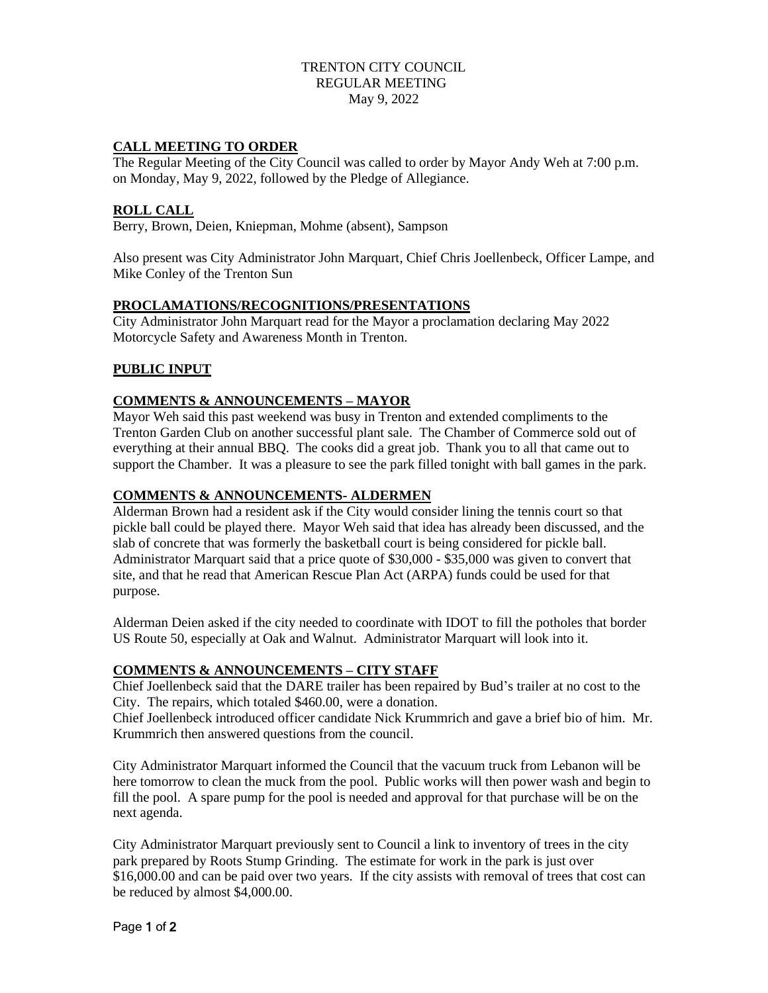## TRENTON CITY COUNCIL REGULAR MEETING May 9, 2022

### **CALL MEETING TO ORDER**

The Regular Meeting of the City Council was called to order by Mayor Andy Weh at 7:00 p.m. on Monday, May 9, 2022, followed by the Pledge of Allegiance.

#### **ROLL CALL**

Berry, Brown, Deien, Kniepman, Mohme (absent), Sampson

Also present was City Administrator John Marquart, Chief Chris Joellenbeck, Officer Lampe, and Mike Conley of the Trenton Sun

#### **PROCLAMATIONS/RECOGNITIONS/PRESENTATIONS**

City Administrator John Marquart read for the Mayor a proclamation declaring May 2022 Motorcycle Safety and Awareness Month in Trenton.

## **PUBLIC INPUT**

#### **COMMENTS & ANNOUNCEMENTS – MAYOR**

Mayor Weh said this past weekend was busy in Trenton and extended compliments to the Trenton Garden Club on another successful plant sale. The Chamber of Commerce sold out of everything at their annual BBQ. The cooks did a great job. Thank you to all that came out to support the Chamber. It was a pleasure to see the park filled tonight with ball games in the park.

#### **COMMENTS & ANNOUNCEMENTS- ALDERMEN**

Alderman Brown had a resident ask if the City would consider lining the tennis court so that pickle ball could be played there. Mayor Weh said that idea has already been discussed, and the slab of concrete that was formerly the basketball court is being considered for pickle ball. Administrator Marquart said that a price quote of \$30,000 - \$35,000 was given to convert that site, and that he read that American Rescue Plan Act (ARPA) funds could be used for that purpose.

Alderman Deien asked if the city needed to coordinate with IDOT to fill the potholes that border US Route 50, especially at Oak and Walnut. Administrator Marquart will look into it.

#### **COMMENTS & ANNOUNCEMENTS – CITY STAFF**

Chief Joellenbeck said that the DARE trailer has been repaired by Bud's trailer at no cost to the City. The repairs, which totaled \$460.00, were a donation.

Chief Joellenbeck introduced officer candidate Nick Krummrich and gave a brief bio of him. Mr. Krummrich then answered questions from the council.

City Administrator Marquart informed the Council that the vacuum truck from Lebanon will be here tomorrow to clean the muck from the pool. Public works will then power wash and begin to fill the pool. A spare pump for the pool is needed and approval for that purchase will be on the next agenda.

City Administrator Marquart previously sent to Council a link to inventory of trees in the city park prepared by Roots Stump Grinding. The estimate for work in the park is just over \$16,000.00 and can be paid over two years. If the city assists with removal of trees that cost can be reduced by almost \$4,000.00.